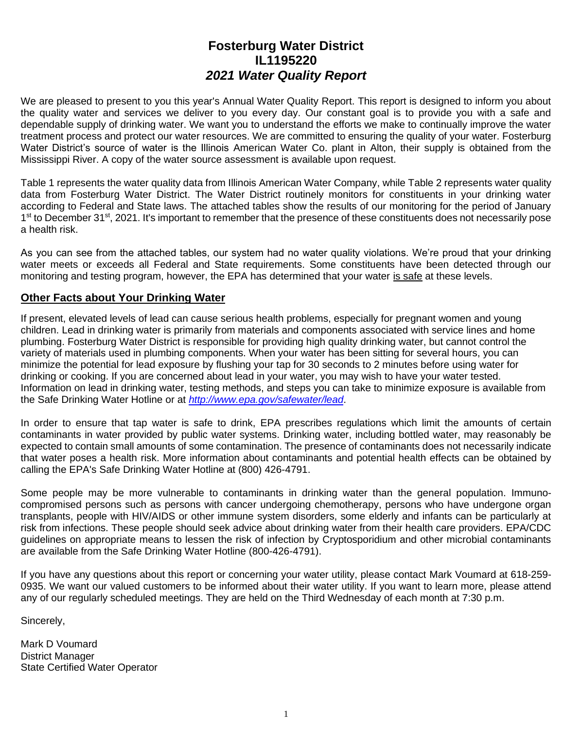# **Fosterburg Water District IL1195220** *2021 Water Quality Report*

We are pleased to present to you this year's Annual Water Quality Report. This report is designed to inform you about the quality water and services we deliver to you every day. Our constant goal is to provide you with a safe and dependable supply of drinking water. We want you to understand the efforts we make to continually improve the water treatment process and protect our water resources. We are committed to ensuring the quality of your water. Fosterburg Water District's source of water is the Illinois American Water Co. plant in Alton, their supply is obtained from the Mississippi River. A copy of the water source assessment is available upon request.

Table 1 represents the water quality data from Illinois American Water Company, while Table 2 represents water quality data from Fosterburg Water District. The Water District routinely monitors for constituents in your drinking water according to Federal and State laws. The attached tables show the results of our monitoring for the period of January 1<sup>st</sup> to December 31<sup>st</sup>, 2021. It's important to remember that the presence of these constituents does not necessarily pose a health risk.

As you can see from the attached tables, our system had no water quality violations. We're proud that your drinking water meets or exceeds all Federal and State requirements. Some constituents have been detected through our monitoring and testing program, however, the EPA has determined that your water is safe at these levels.

## **Other Facts about Your Drinking Water**

If present, elevated levels of lead can cause serious health problems, especially for pregnant women and young children. Lead in drinking water is primarily from materials and components associated with service lines and home plumbing. Fosterburg Water District is responsible for providing high quality drinking water, but cannot control the variety of materials used in plumbing components. When your water has been sitting for several hours, you can minimize the potential for lead exposure by flushing your tap for 30 seconds to 2 minutes before using water for drinking or cooking. If you are concerned about lead in your water, you may wish to have your water tested. Information on lead in drinking water, testing methods, and steps you can take to minimize exposure is available from the Safe Drinking Water Hotline or at *<http://www.epa.gov/safewater/lead>*.

In order to ensure that tap water is safe to drink, EPA prescribes regulations which limit the amounts of certain contaminants in water provided by public water systems. Drinking water, including bottled water, may reasonably be expected to contain small amounts of some contamination. The presence of contaminants does not necessarily indicate that water poses a health risk. More information about contaminants and potential health effects can be obtained by calling the EPA's Safe Drinking Water Hotline at (800) 426-4791.

Some people may be more vulnerable to contaminants in drinking water than the general population. Immunocompromised persons such as persons with cancer undergoing chemotherapy, persons who have undergone organ transplants, people with HIV/AIDS or other immune system disorders, some elderly and infants can be particularly at risk from infections. These people should seek advice about drinking water from their health care providers. EPA/CDC guidelines on appropriate means to lessen the risk of infection by Cryptosporidium and other microbial contaminants are available from the Safe Drinking Water Hotline (800-426-4791).

If you have any questions about this report or concerning your water utility, please contact Mark Voumard at 618-259- 0935. We want our valued customers to be informed about their water utility. If you want to learn more, please attend any of our regularly scheduled meetings. They are held on the Third Wednesday of each month at 7:30 p.m.

Sincerely,

Mark D Voumard District Manager State Certified Water Operator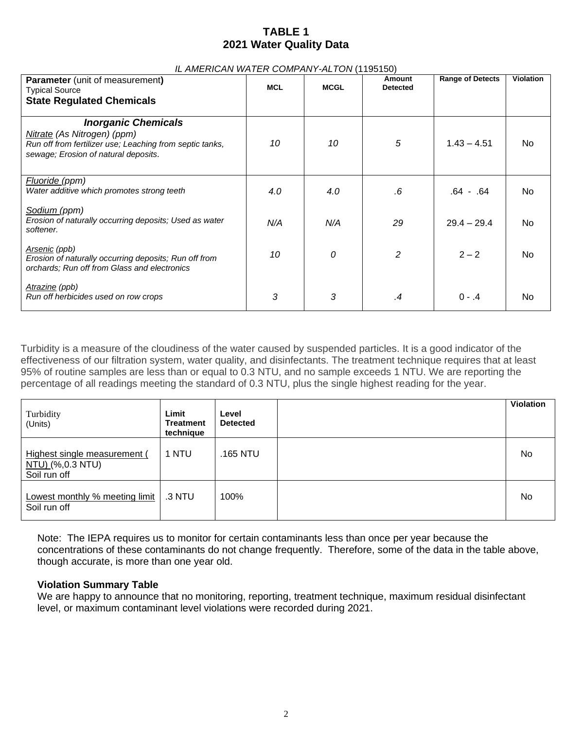## **TABLE 1 2021 Water Quality Data**

#### *IL AMERICAN WATER COMPANY-ALTON* (1195150)

| <b>Parameter</b> (unit of measurement)<br><b>Typical Source</b><br><b>State Regulated Chemicals</b>                                                           | <b>MCL</b> | <b>MCGL</b> | Amount<br><b>Detected</b> | <b>Range of Detects</b> | <b>Violation</b> |
|---------------------------------------------------------------------------------------------------------------------------------------------------------------|------------|-------------|---------------------------|-------------------------|------------------|
| <b>Inorganic Chemicals</b><br>Nitrate (As Nitrogen) (ppm)<br>Run off from fertilizer use; Leaching from septic tanks,<br>sewage; Erosion of natural deposits. | 10         | 10          | 5                         | $1.43 - 4.51$           | No.              |
| <u>Fluoride (</u> ppm)<br>Water additive which promotes strong teeth                                                                                          | 4.0        | 4.0         | .6                        | .64 - .64               | No.              |
| <u>Sodium (</u> ppm)<br>Erosion of naturally occurring deposits; Used as water<br>softener.                                                                   | N/A        | N/A         | 29                        | $29.4 - 29.4$           | No.              |
| Arsenic (ppb)<br>Erosion of naturally occurring deposits; Run off from<br>orchards; Run off from Glass and electronics                                        | 10         | 0           | $\mathcal{P}$             | $2 - 2$                 | No.              |
| Atrazine (ppb)<br>Run off herbicides used on row crops                                                                                                        | 3          | 3           | .4                        | $0 - .4$                | No.              |

Turbidity is a measure of the cloudiness of the water caused by suspended particles. It is a good indicator of the effectiveness of our filtration system, water quality, and disinfectants. The treatment technique requires that at least 95% of routine samples are less than or equal to 0.3 NTU, and no sample exceeds 1 NTU. We are reporting the percentage of all readings meeting the standard of 0.3 NTU, plus the single highest reading for the year.

| Turbidity<br>(Units)                                             | Limit<br>Treatment<br>technique | Level<br><b>Detected</b> | <b>Violation</b> |
|------------------------------------------------------------------|---------------------------------|--------------------------|------------------|
| Highest single measurement (<br>NTU) (%,0.3 NTU)<br>Soil run off | 1 NTU                           | .165 NTU                 | No               |
| Lowest monthly % meeting limit<br>Soil run off                   | .3 NTU                          | 100%                     | No               |

Note: The IEPA requires us to monitor for certain contaminants less than once per year because the concentrations of these contaminants do not change frequently. Therefore, some of the data in the table above, though accurate, is more than one year old.

## **Violation Summary Table**

We are happy to announce that no monitoring, reporting, treatment technique, maximum residual disinfectant level, or maximum contaminant level violations were recorded during 2021.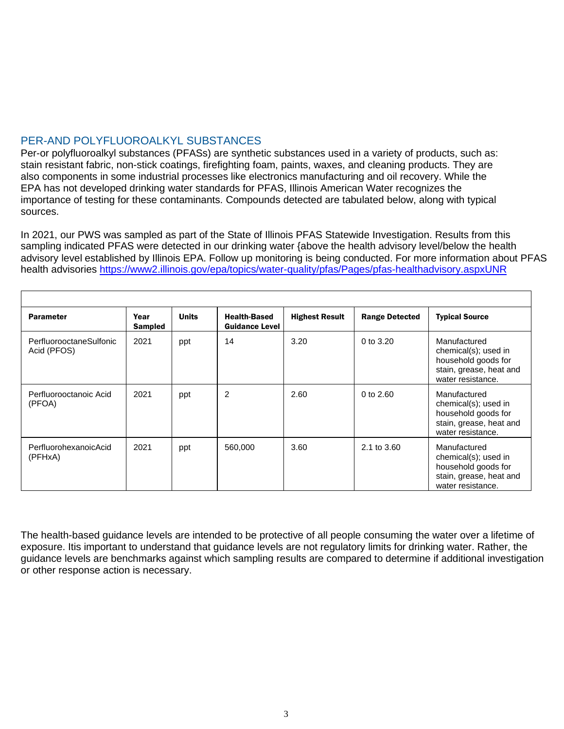## PER-AND POLYFLUOROALKYL SUBSTANCES

Per-or polyfluoroalkyl substances (PFASs) are synthetic substances used in a variety of products, such as: stain resistant fabric, non-stick coatings, firefighting foam, paints, waxes, and cleaning products. They are also components in some industrial processes like electronics manufacturing and oil recovery. While the EPA has not developed drinking water standards for PFAS, Illinois American Water recognizes the importance of testing for these contaminants. Compounds detected are tabulated below, along with typical sources.

In 2021, our PWS was sampled as part of the State of Illinois PFAS Statewide Investigation. Results from this sampling indicated PFAS were detected in our drinking water {above the health advisory level/below the health advisory level established by Illinois EPA. Follow up monitoring is being conducted. For more information about PFAS health advisories<https://www2.illinois.gov/epa/topics/water-quality/pfas/Pages/pfas-healthadvisory.aspxUNR>

| <b>Parameter</b>                       | Year<br>Sampled | <b>Units</b> | <b>Health-Based</b><br><b>Guidance Level</b> | <b>Highest Result</b> | <b>Range Detected</b> | <b>Typical Source</b>                                                                                       |
|----------------------------------------|-----------------|--------------|----------------------------------------------|-----------------------|-----------------------|-------------------------------------------------------------------------------------------------------------|
| PerfluorooctaneSulfonic<br>Acid (PFOS) | 2021            | ppt          | 14                                           | 3.20                  | 0 to $3.20$           | Manufactured<br>chemical(s); used in<br>household goods for<br>stain, grease, heat and<br>water resistance. |
| Perfluorooctanoic Acid<br>(PFOA)       | 2021            | ppt          | 2                                            | 2.60                  | 0 to $2.60$           | Manufactured<br>chemical(s); used in<br>household goods for<br>stain, grease, heat and<br>water resistance. |
| PerfluorohexanoicAcid<br>(PFHxA)       | 2021            | ppt          | 560,000                                      | 3.60                  | 2.1 to 3.60           | Manufactured<br>chemical(s); used in<br>household goods for<br>stain, grease, heat and<br>water resistance. |

The health-based guidance levels are intended to be protective of all people consuming the water over a lifetime of exposure. Itis important to understand that guidance levels are not regulatory limits for drinking water. Rather, the guidance levels are benchmarks against which sampling results are compared to determine if additional investigation or other response action is necessary.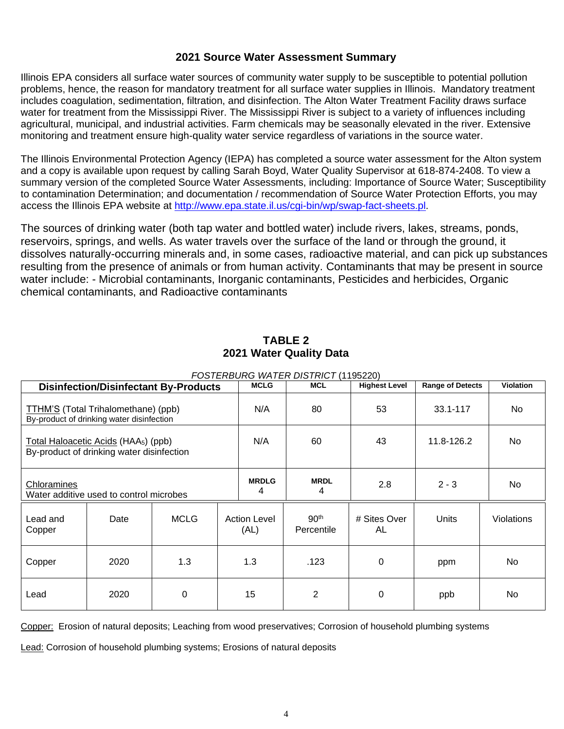## **2021 Source Water Assessment Summary**

Illinois EPA considers all surface water sources of community water supply to be susceptible to potential pollution problems, hence, the reason for mandatory treatment for all surface water supplies in Illinois. Mandatory treatment includes coagulation, sedimentation, filtration, and disinfection. The Alton Water Treatment Facility draws surface water for treatment from the Mississippi River. The Mississippi River is subject to a variety of influences including agricultural, municipal, and industrial activities. Farm chemicals may be seasonally elevated in the river. Extensive monitoring and treatment ensure high-quality water service regardless of variations in the source water.

The Illinois Environmental Protection Agency (IEPA) has completed a source water assessment for the Alton system and a copy is available upon request by calling Sarah Boyd, Water Quality Supervisor at 618-874-2408. To view a summary version of the completed Source Water Assessments, including: Importance of Source Water; Susceptibility to contamination Determination; and documentation / recommendation of Source Water Protection Efforts, you may access the Illinois EPA website at [http://www.epa.state.il.us/cgi-bin/wp/swap-fact-sheets.pl.](http://www.epa.state.il.us/cgi-bin/wp/swap-fact-sheets.pl)

The sources of drinking water (both tap water and bottled water) include rivers, lakes, streams, ponds, reservoirs, springs, and wells. As water travels over the surface of the land or through the ground, it dissolves naturally-occurring minerals and, in some cases, radioactive material, and can pick up substances resulting from the presence of animals or from human activity. Contaminants that may be present in source water include: - Microbial contaminants, Inorganic contaminants, Pesticides and herbicides, Organic chemical contaminants, and Radioactive contaminants

|                                                                                               |      | <b>Disinfection/Disinfectant By-Products</b> | <b>MCLG</b>                 | <b>MCL</b>                     | <b>Highest Level</b> | <b>Range of Detects</b> | Violation  |
|-----------------------------------------------------------------------------------------------|------|----------------------------------------------|-----------------------------|--------------------------------|----------------------|-------------------------|------------|
| TTHM'S (Total Trihalomethane) (ppb)<br>By-product of drinking water disinfection              | N/A  | 80                                           | 53                          | 33.1-117                       | N <sub>o</sub>       |                         |            |
| Total Haloacetic Acids (HAA <sub>5</sub> ) (ppb)<br>By-product of drinking water disinfection |      |                                              | N/A                         | 60                             | 43                   | 11.8-126.2              | No.        |
| Chloramines<br>Water additive used to control microbes                                        |      |                                              | <b>MRDLG</b><br>4           | <b>MRDL</b><br>4               | 2.8                  | $2 - 3$                 | No.        |
| Lead and<br>Copper                                                                            | Date | <b>MCLG</b>                                  | <b>Action Level</b><br>(AL) | 90 <sup>th</sup><br>Percentile | # Sites Over<br>AL   | Units                   | Violations |
| Copper                                                                                        | 2020 | 1.3                                          | 1.3                         | .123                           | $\Omega$             | ppm                     | No.        |
| Lead                                                                                          | 2020 | $\Omega$                                     | 15                          | 2                              | 0                    | ppb                     | No         |

## **TABLE 2 2021 Water Quality Data**

*FOSTERBURG WATER DISTRICT* (1195220)

Copper: Erosion of natural deposits; Leaching from wood preservatives; Corrosion of household plumbing systems

Lead: Corrosion of household plumbing systems; Erosions of natural deposits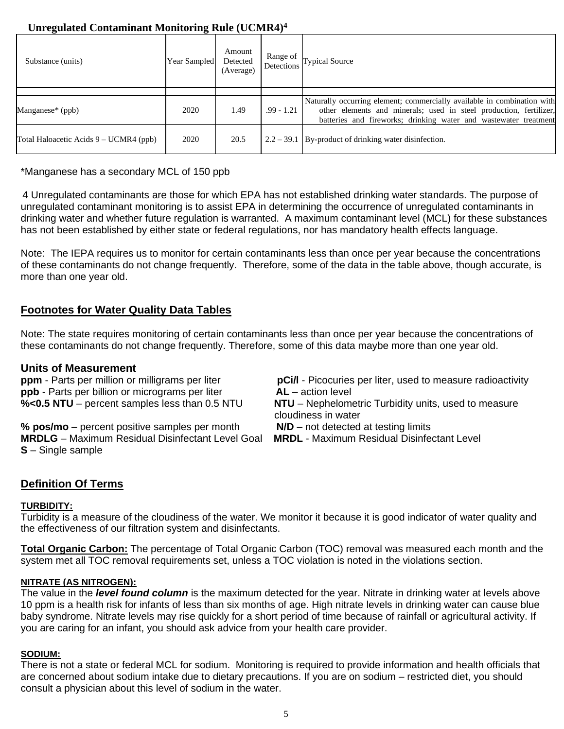# **Unregulated Contaminant Monitoring Rule (UCMR4)<sup>4</sup>**

| Substance (units)                      | Year Sampled | Amount<br>Detected<br>(Average) | Range of     | $\int$ Detections Typical Source                                                                                                                                                                                  |
|----------------------------------------|--------------|---------------------------------|--------------|-------------------------------------------------------------------------------------------------------------------------------------------------------------------------------------------------------------------|
|                                        |              |                                 |              |                                                                                                                                                                                                                   |
| Manganese* (ppb)                       | 2020         | 1.49                            | $.99 - 1.21$ | Naturally occurring element; commercially available in combination with<br>other elements and minerals; used in steel production, fertilizer,<br>batteries and fireworks; drinking water and wastewater treatment |
| Total Haloacetic Acids 9 – UCMR4 (ppb) | 2020         | 20.5                            |              | $2.2 - 39.1$ By-product of drinking water disinfection.                                                                                                                                                           |

\*Manganese has a secondary MCL of 150 ppb

4 Unregulated contaminants are those for which EPA has not established drinking water standards. The purpose of unregulated contaminant monitoring is to assist EPA in determining the occurrence of unregulated contaminants in drinking water and whether future regulation is warranted. A maximum contaminant level (MCL) for these substances has not been established by either state or federal regulations, nor has mandatory health effects language.

Note: The IEPA requires us to monitor for certain contaminants less than once per year because the concentrations of these contaminants do not change frequently. Therefore, some of the data in the table above, though accurate, is more than one year old.

## **Footnotes for Water Quality Data Tables**

Note: The state requires monitoring of certain contaminants less than once per year because the concentrations of these contaminants do not change frequently. Therefore, some of this data maybe more than one year old.

**Units of Measurement**<br>**ppm** - Parts per million or milligrams per liter **ppb** - Parts per billion or micrograms per liter **AL** – action level

**% pos/mo** – percent positive samples per month **N/D** – not detected at testing limits **MRDLG** – Maximum Residual Disinfectant Level Goal **MRDL** - Maximum Residual Disinfectant Level **S** – Single sample

**pCi/l** - Picocuries per liter, used to measure radioactivity

**%<0.5 NTU** – percent samples less than 0.5 NTU **NTU** – Nephelometric Turbidity units, used to measure cloudiness in water

## **Definition Of Terms**

## **TURBIDITY:**

Turbidity is a measure of the cloudiness of the water. We monitor it because it is good indicator of water quality and the effectiveness of our filtration system and disinfectants.

**Total Organic Carbon:** The percentage of Total Organic Carbon (TOC) removal was measured each month and the system met all TOC removal requirements set, unless a TOC violation is noted in the violations section.

## **NITRATE (AS NITROGEN):**

The value in the *level found column* is the maximum detected for the year. Nitrate in drinking water at levels above 10 ppm is a health risk for infants of less than six months of age. High nitrate levels in drinking water can cause blue baby syndrome. Nitrate levels may rise quickly for a short period of time because of rainfall or agricultural activity. If you are caring for an infant, you should ask advice from your health care provider.

## **SODIUM:**

There is not a state or federal MCL for sodium. Monitoring is required to provide information and health officials that are concerned about sodium intake due to dietary precautions. If you are on sodium – restricted diet, you should consult a physician about this level of sodium in the water.